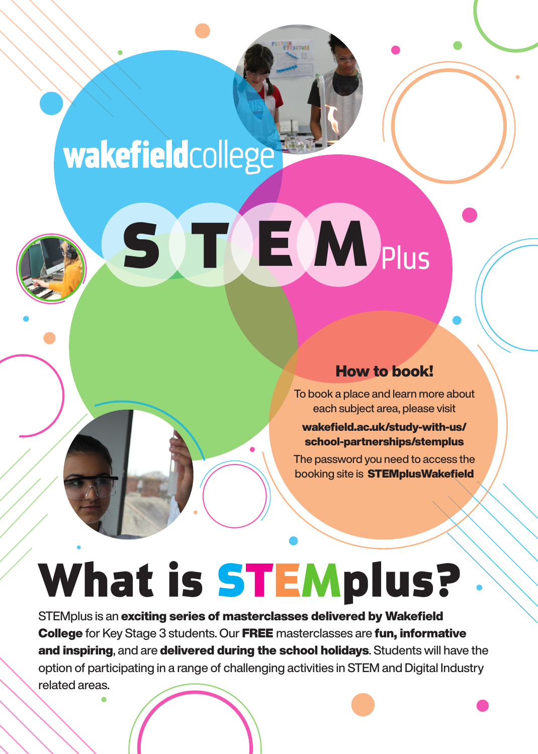### **wakefield**college

# S TEMPlus

#### How to book!

To book a place and learn more about each subject area, please visit

wakefield.ac.uk/study-with-us/ school-partnerships/stemplus

The password you need to access the booking site is **STEMplusWakefield** 

## What is STEMplus?

STEMplus is an exciting series of masterclasses delivered by Wakefield College for Key Stage 3 students. Our FREE masterclasses are fun, informative and inspiring, and are delivered during the school holidays. Students will have the option of participating in a range of challenging activities in STEM and Digital Industry related areas.